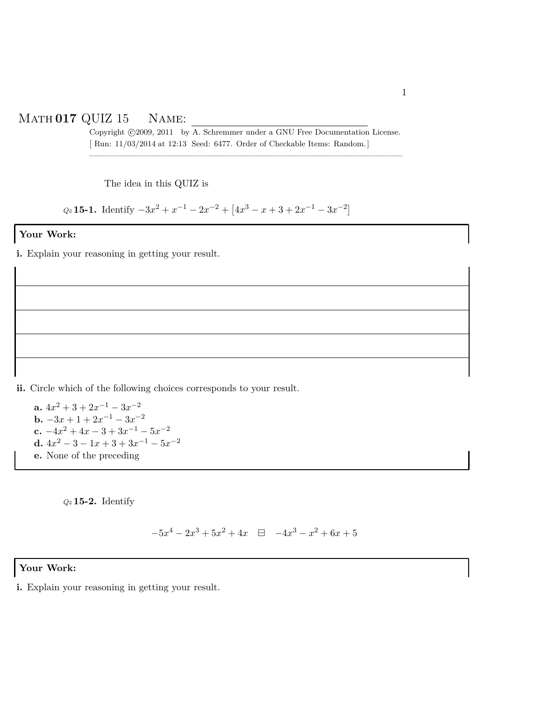## Math **017** QUIZ 15 Name:

Copyright ©2009, 2011 by A. Schremmer under a GNU Free Documentation License. [ Run: 11/03/2014 at 12:13 Seed: 6477. Order of Checkable Items: Random.] ————————————————————————————————–

The idea in this QUIZ is

 $Q_z$  **15-1.** Identify  $-3x^2 + x^{-1} - 2x^{-2} + [4x^3 - x + 3 + 2x^{-1} - 3x^{-2}]$ 

## **Your Work:**

**i.** Explain your reasoning in getting your result.

**ii.** Circle which of the following choices corresponds to your result.

**a.**  $4x^2 + 3 + 2x^{-1} - 3x^{-2}$ **b.**  $-3x + 1 + 2x^{-1} - 3x^{-2}$ **c.**  $-4x^2 + 4x - 3 + 3x^{-1} - 5x^{-2}$ **d.**  $4x^2 - 3 - 1x + 3 + 3x^{-1} - 5x^{-2}$ **e.** None of the preceding

*Qz* **15-2.** Identify

 $-5x^4 - 2x^3 + 5x^2 + 4x \quad \boxdot \quad -4x^3 - x^2 + 6x + 5$ 

## **Your Work:**

**i.** Explain your reasoning in getting your result.